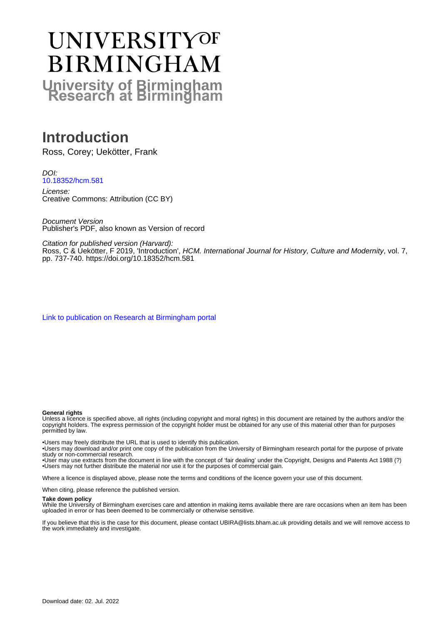# **UNIVERSITYOF BIRMINGHAM University of Birmingham**

# **Introduction**

Ross, Corey; Uekötter, Frank

DOI: [10.18352/hcm.581](https://doi.org/10.18352/hcm.581)

License: Creative Commons: Attribution (CC BY)

Document Version Publisher's PDF, also known as Version of record

Citation for published version (Harvard):

Ross, C & Uekötter, F 2019, 'Introduction', HCM. International Journal for History, Culture and Modernity, vol. 7, pp. 737-740. <https://doi.org/10.18352/hcm.581>

[Link to publication on Research at Birmingham portal](https://birmingham.elsevierpure.com/en/publications/3f49d5aa-86f4-4ecc-92f4-186028f45b73)

#### **General rights**

Unless a licence is specified above, all rights (including copyright and moral rights) in this document are retained by the authors and/or the copyright holders. The express permission of the copyright holder must be obtained for any use of this material other than for purposes permitted by law.

• Users may freely distribute the URL that is used to identify this publication.

• Users may download and/or print one copy of the publication from the University of Birmingham research portal for the purpose of private study or non-commercial research.

• User may use extracts from the document in line with the concept of 'fair dealing' under the Copyright, Designs and Patents Act 1988 (?) • Users may not further distribute the material nor use it for the purposes of commercial gain.

Where a licence is displayed above, please note the terms and conditions of the licence govern your use of this document.

When citing, please reference the published version.

#### **Take down policy**

While the University of Birmingham exercises care and attention in making items available there are rare occasions when an item has been uploaded in error or has been deemed to be commercially or otherwise sensitive.

If you believe that this is the case for this document, please contact UBIRA@lists.bham.ac.uk providing details and we will remove access to the work immediately and investigate.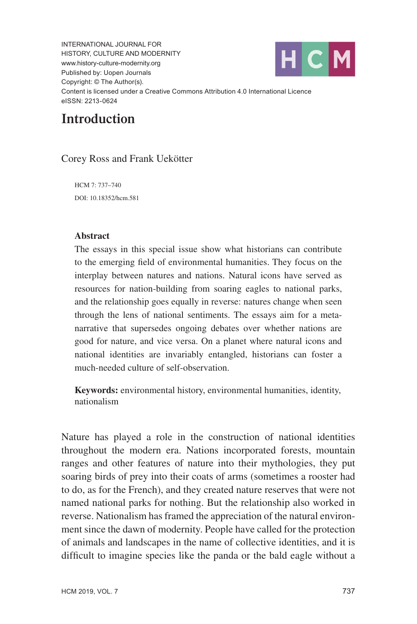INTERNATIONAL JOURNAL FOR HISTORY, CULTURE AND MODERNITY [www.history-culture-modernity.org](http://www.history-culture-modernity.org) Published by: Uopen Journals Copyright: © The Author(s). Content is licensed under a Creative Commons Attribution 4.0 International Licence eISSN: 2213-0624



## **Introduction**

Corey Ross and Frank Uekötter

HCM 7: 737–740 [DOI: 10.18352/hcm.581](http://doi.org/10.18352/hcm.581)

#### **Abstract**

The essays in this special issue show what historians can contribute to the emerging field of environmental humanities. They focus on the interplay between natures and nations. Natural icons have served as resources for nation-building from soaring eagles to national parks, and the relationship goes equally in reverse: natures change when seen through the lens of national sentiments. The essays aim for a metanarrative that supersedes ongoing debates over whether nations are good for nature, and vice versa. On a planet where natural icons and national identities are invariably entangled, historians can foster a much-needed culture of self-observation.

**Keywords:** environmental history, environmental humanities, identity, nationalism

Nature has played a role in the construction of national identities throughout the modern era. Nations incorporated forests, mountain ranges and other features of nature into their mythologies, they put soaring birds of prey into their coats of arms (sometimes a rooster had to do, as for the French), and they created nature reserves that were not named national parks for nothing. But the relationship also worked in reverse. Nationalism has framed the appreciation of the natural environment since the dawn of modernity. People have called for the protection of animals and landscapes in the name of collective identities, and it is difficult to imagine species like the panda or the bald eagle without a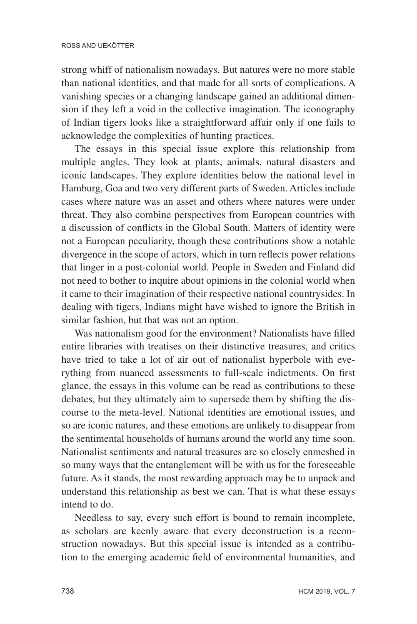strong whiff of nationalism nowadays. But natures were no more stable than national identities, and that made for all sorts of complications. A vanishing species or a changing landscape gained an additional dimension if they left a void in the collective imagination. The iconography of Indian tigers looks like a straightforward affair only if one fails to acknowledge the complexities of hunting practices.

The essays in this special issue explore this relationship from multiple angles. They look at plants, animals, natural disasters and iconic landscapes. They explore identities below the national level in Hamburg, Goa and two very different parts of Sweden. Articles include cases where nature was an asset and others where natures were under threat. They also combine perspectives from European countries with a discussion of conflicts in the Global South. Matters of identity were not a European peculiarity, though these contributions show a notable divergence in the scope of actors, which in turn reflects power relations that linger in a post-colonial world. People in Sweden and Finland did not need to bother to inquire about opinions in the colonial world when it came to their imagination of their respective national countrysides. In dealing with tigers, Indians might have wished to ignore the British in similar fashion, but that was not an option.

Was nationalism good for the environment? Nationalists have filled entire libraries with treatises on their distinctive treasures, and critics have tried to take a lot of air out of nationalist hyperbole with everything from nuanced assessments to full-scale indictments. On first glance, the essays in this volume can be read as contributions to these debates, but they ultimately aim to supersede them by shifting the discourse to the meta-level. National identities are emotional issues, and so are iconic natures, and these emotions are unlikely to disappear from the sentimental households of humans around the world any time soon. Nationalist sentiments and natural treasures are so closely enmeshed in so many ways that the entanglement will be with us for the foreseeable future. As it stands, the most rewarding approach may be to unpack and understand this relationship as best we can. That is what these essays intend to do.

Needless to say, every such effort is bound to remain incomplete, as scholars are keenly aware that every deconstruction is a reconstruction nowadays. But this special issue is intended as a contribution to the emerging academic field of environmental humanities, and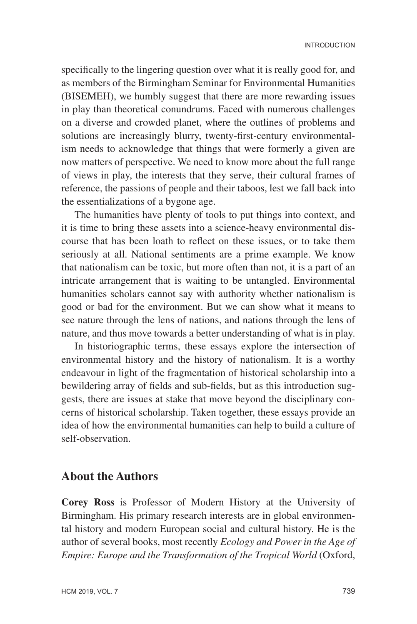specifically to the lingering question over what it is really good for, and as members of the Birmingham Seminar for Environmental Humanities (BISEMEH), we humbly suggest that there are more rewarding issues in play than theoretical conundrums. Faced with numerous challenges on a diverse and crowded planet, where the outlines of problems and solutions are increasingly blurry, twenty-first-century environmentalism needs to acknowledge that things that were formerly a given are now matters of perspective. We need to know more about the full range of views in play, the interests that they serve, their cultural frames of reference, the passions of people and their taboos, lest we fall back into the essentializations of a bygone age.

The humanities have plenty of tools to put things into context, and it is time to bring these assets into a science-heavy environmental discourse that has been loath to reflect on these issues, or to take them seriously at all. National sentiments are a prime example. We know that nationalism can be toxic, but more often than not, it is a part of an intricate arrangement that is waiting to be untangled. Environmental humanities scholars cannot say with authority whether nationalism is good or bad for the environment. But we can show what it means to see nature through the lens of nations, and nations through the lens of nature, and thus move towards a better understanding of what is in play.

In historiographic terms, these essays explore the intersection of environmental history and the history of nationalism. It is a worthy endeavour in light of the fragmentation of historical scholarship into a bewildering array of fields and sub-fields, but as this introduction suggests, there are issues at stake that move beyond the disciplinary concerns of historical scholarship. Taken together, these essays provide an idea of how the environmental humanities can help to build a culture of self-observation.

### **About the Authors**

**Corey Ross** is Professor of Modern History at the University of Birmingham. His primary research interests are in global environmental history and modern European social and cultural history. He is the author of several books, most recently *Ecology and Power in the Age of Empire: Europe and the Transformation of the Tropical World* (Oxford,